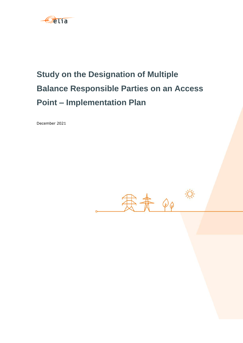

# **Study on the Designation of Multiple Balance Responsible Parties on an Access Point – Implementation Plan**

December 2021

寒素 Qp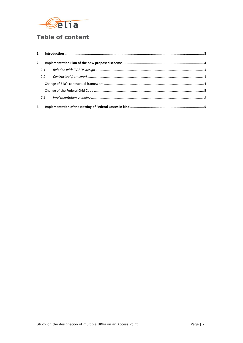

# **Table of content**

| $\overline{2}$ |               |                                                                                                                                                                                                                                                                                                                                                                                                                                                                           |  |
|----------------|---------------|---------------------------------------------------------------------------------------------------------------------------------------------------------------------------------------------------------------------------------------------------------------------------------------------------------------------------------------------------------------------------------------------------------------------------------------------------------------------------|--|
|                | 2.1           |                                                                                                                                                                                                                                                                                                                                                                                                                                                                           |  |
|                | $2.2^{\circ}$ | $\label{thm:main} \textit{Contractual framework} \,\, \ldots \,\, \ldots \,\, \ldots \,\, \ldots \,\, \ldots \,\, \ldots \,\, \ldots \,\, \ldots \,\, \ldots \,\, \ldots \,\, \ldots \,\, \ldots \,\, \ldots \,\, \ldots \,\, \ldots \,\, \ldots \,\, \ldots \,\, \ldots \,\, \ldots \,\, \ldots \,\, \ldots \,\, \ldots \,\, \ldots \,\, \ldots \,\, \ldots \,\, \ldots \,\, \ldots \,\, \ldots \,\, \ldots \,\, \ldots \,\, \ldots \,\, \ldots \,\, \ldots \,\, \ldots$ |  |
|                |               |                                                                                                                                                                                                                                                                                                                                                                                                                                                                           |  |
|                |               |                                                                                                                                                                                                                                                                                                                                                                                                                                                                           |  |
|                | 2.3           |                                                                                                                                                                                                                                                                                                                                                                                                                                                                           |  |
| 3              |               |                                                                                                                                                                                                                                                                                                                                                                                                                                                                           |  |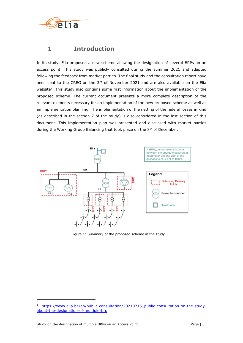

## <span id="page-2-0"></span>**1 Introduction**

In its study, Elia proposed a new scheme allowing the designation of several BRPs on an access point. This study was publicly consulted during the summer 2021 and adapted following the feedback from market parties. The final study and the consultation report have been sent to the CREG on the 3rd of November 2021 and are also available on the Elia website<sup>1</sup>. This study also contains some first information about the implementation of the proposed scheme. The current document presents a more complete description of the relevant elements necessary for an implementation of the new proposed scheme as well as an implementation planning. The implementation of the netting of the federal losses in kind (as described in the section 7 of the study) is also considered in the last section of this document. This implementation plan was presented and discussed with market parties during the Working Group Balancing that took place on the 8<sup>th</sup> of December.



Figure 1: Summary of the proposed scheme in the study

ł

<sup>1</sup> [https://www.elia.be/en/public-consultation/20210715\\_public-consultation-on-the-study](https://www.elia.be/en/public-consultation/20210715_public-consultation-on-the-study-about-the-designation-of-multiple-brp)[about-the-designation-of-multiple-brp](https://www.elia.be/en/public-consultation/20210715_public-consultation-on-the-study-about-the-designation-of-multiple-brp)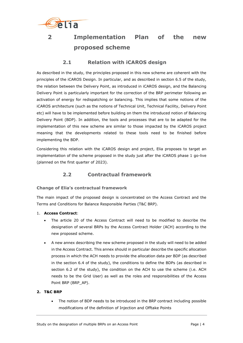

# <span id="page-3-0"></span>**2 Implementation Plan of the new proposed scheme**

### **2.1 Relation with iCAROS design**

<span id="page-3-1"></span>As described in the study, the principles proposed in this new scheme are coherent with the principles of the iCAROS Design. In particular, and as described in section 6.5 of the study, the relation between the Delivery Point, as introduced in iCAROS design, and the Balancing Delivery Point is particularly important for the correction of the BRP perimeter following an activation of energy for redispatching or balancing. This implies that some notions of the iCAROS architecture (such as the notions of Technical Unit, Technical Facility, Delivery Point etc) will have to be implemented before building on them the introduced notion of Balancing Delivery Point (BDP). In addition, the tools and processes that are to be adapted for the implementation of this new scheme are similar to those impacted by the iCAROS project meaning that the developments related to these tools need to be finished before implementing the BDP.

Considering this relation with the iCAROS design and project, Elia proposes to target an implementation of the scheme proposed in the study just after the iCAROS phase 1 go-live (planned on the first quarter of 2023).

## **2.2 Contractual framework**

#### <span id="page-3-3"></span><span id="page-3-2"></span>**Change of Elia's contractual framework**

The main impact of the proposed design is concentrated on the Access Contract and the Terms and Conditions for Balance Responsible Parties (T&C BRP).

- 1. **Access Contract**:
	- The article 20 of the Access Contract will need to be modified to describe the designation of several BRPs by the Access Contract Holder (ACH) according to the new proposed scheme.
	- A new annex describing the new scheme proposed in the study will need to be added in the Access Contract. This annex should in particular describe the specific allocation process in which the ACH needs to provide the allocation data per BDP (as described in the section 6.4 of the study), the conditions to define the BDPs (as described in section 6.2 of the study), the condition on the ACH to use the scheme (i.e. ACH needs to be the Grid User) as well as the roles and responsibilities of the Access Point BRP (BRP\_AP).

#### **2. T&C BRP**

 The notion of BDP needs to be introduced in the BRP contract including possible modifications of the definition of Injection and Offtake Points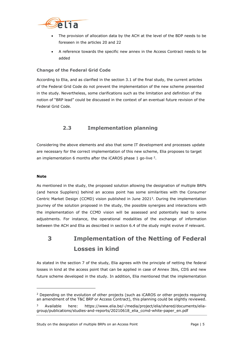

- The provision of allocation data by the ACH at the level of the BDP needs to be foreseen in the articles 20 and 22
- A reference towards the specific new annex in the Access Contract needs to be added

#### <span id="page-4-0"></span>**Change of the Federal Grid Code**

According to Elia, and as clarified in the section 3.1 of the final study, the current articles of the Federal Grid Code do not prevent the implementation of the new scheme presented in the study. Nevertheless, some clarifications such as the limitation and definition of the notion of "BRP lead" could be discussed in the context of an eventual future revision of the Federal Grid Code.

## **2.3 Implementation planning**

<span id="page-4-1"></span>Considering the above elements and also that some IT development and processes update are necessary for the correct implementation of this new scheme, Elia proposes to target an implementation 6 months after the iCAROS phase 1 go-live  $2$ .

#### **Note**

ł

As mentioned in the study, the proposed solution allowing the designation of multiple BRPs (and hence Suppliers) behind an access point has some similarities with the Consumer Centric Market Design (CCMD) vision published in June 2021<sup>3</sup>. During the implementation journey of the solution proposed in the study, the possible synergies and interactions with the implementation of the CCMD vision will be assessed and potentially lead to some adjustments. For instance, the operational modalities of the exchange of information between the ACH and Elia as described in section 6.4 of the study might evolve if relevant.

# <span id="page-4-2"></span>**3 Implementation of the Netting of Federal Losses in kind**

As stated in the section 7 of the study, Elia agrees with the principle of netting the federal losses in kind at the access point that can be applied in case of Annex 3bis, CDS and new future scheme developed in the study. In addition, Elia mentioned that the implementation

<sup>&</sup>lt;sup>2</sup> Depending on the evolution of other projects (such as iCAROS or other projects requiring an amendment of the T&C BRP or Access Contract), this planning could be slightly reviewed.

<sup>3</sup> Available here: https://www.elia.be/-/media/project/elia/shared/documents/eliagroup/publications/studies-and-reports/20210618\_elia\_ccmd-white-paper\_en.pdf